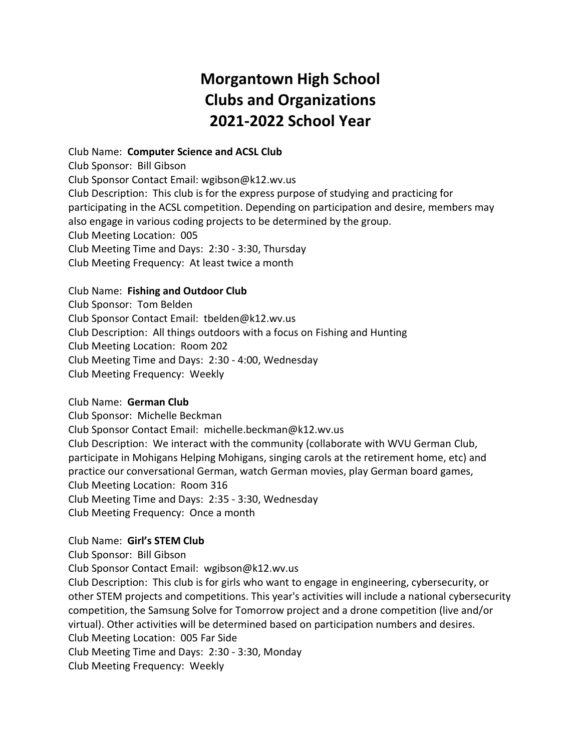# **Morgantown High School Clubs and Organizations 2021-2022 School Year**

Club Name: **Computer Science and ACSL Club** Club Sponsor: Bill Gibson Club Sponsor Contact Email: wgibson@k12.wv.us Club Description: This club is for the express purpose of studying and practicing for participating in the ACSL competition. Depending on participation and desire, members may also engage in various coding projects to be determined by the group. Club Meeting Location: 005 Club Meeting Time and Days: 2:30 - 3:30, Thursday Club Meeting Frequency: At least twice a month

# Club Name: **Fishing and Outdoor Club**

Club Sponsor: Tom Belden Club Sponsor Contact Email: tbelden@k12.wv.us Club Description: All things outdoors with a focus on Fishing and Hunting Club Meeting Location: Room 202 Club Meeting Time and Days: 2:30 - 4:00, Wednesday Club Meeting Frequency: Weekly

# Club Name: **German Club**

Club Sponsor: Michelle Beckman

Club Sponsor Contact Email: michelle.beckman@k12.wv.us

Club Description: We interact with the community (collaborate with WVU German Club, participate in Mohigans Helping Mohigans, singing carols at the retirement home, etc) and practice our conversational German, watch German movies, play German board games, Club Meeting Location: Room 316 Club Meeting Time and Days: 2:35 - 3:30, Wednesday Club Meeting Frequency: Once a month

# Club Name: **Girl's STEM Club**

Club Sponsor: Bill Gibson Club Sponsor Contact Email: wgibson@k12.wv.us Club Description: This club is for girls who want to engage in engineering, cybersecurity, or other STEM projects and competitions. This year's activities will include a national cybersecurity competition, the Samsung Solve for Tomorrow project and a drone competition (live and/or virtual). Other activities will be determined based on participation numbers and desires. Club Meeting Location: 005 Far Side Club Meeting Time and Days: 2:30 - 3:30, Monday Club Meeting Frequency: Weekly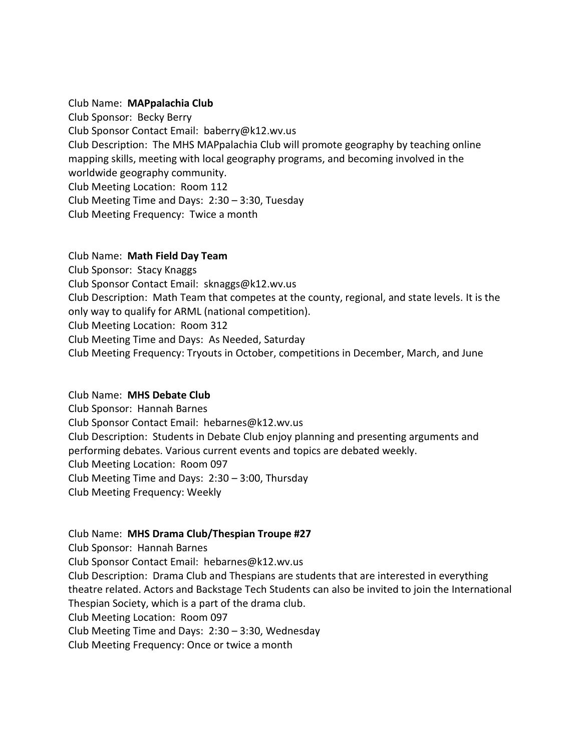#### Club Name: **MAPpalachia Club**

Club Sponsor: Becky Berry Club Sponsor Contact Email: baberry@k12.wv.us Club Description: The MHS MAPpalachia Club will promote geography by teaching online mapping skills, meeting with local geography programs, and becoming involved in the worldwide geography community. Club Meeting Location: Room 112 Club Meeting Time and Days: 2:30 – 3:30, Tuesday Club Meeting Frequency: Twice a month

#### Club Name: **Math Field Day Team**

Club Sponsor: Stacy Knaggs Club Sponsor Contact Email: sknaggs@k12.wv.us Club Description: Math Team that competes at the county, regional, and state levels. It is the only way to qualify for ARML (national competition). Club Meeting Location: Room 312 Club Meeting Time and Days: As Needed, Saturday Club Meeting Frequency: Tryouts in October, competitions in December, March, and June

# Club Name: **MHS Debate Club**

Club Sponsor: Hannah Barnes Club Sponsor Contact Email: hebarnes@k12.wv.us Club Description: Students in Debate Club enjoy planning and presenting arguments and performing debates. Various current events and topics are debated weekly. Club Meeting Location: Room 097 Club Meeting Time and Days: 2:30 – 3:00, Thursday Club Meeting Frequency: Weekly

# Club Name: **MHS Drama Club/Thespian Troupe #27**

Club Sponsor: Hannah Barnes Club Sponsor Contact Email: hebarnes@k12.wv.us

Club Description: Drama Club and Thespians are students that are interested in everything theatre related. Actors and Backstage Tech Students can also be invited to join the International Thespian Society, which is a part of the drama club.

Club Meeting Location: Room 097

Club Meeting Time and Days: 2:30 – 3:30, Wednesday

Club Meeting Frequency: Once or twice a month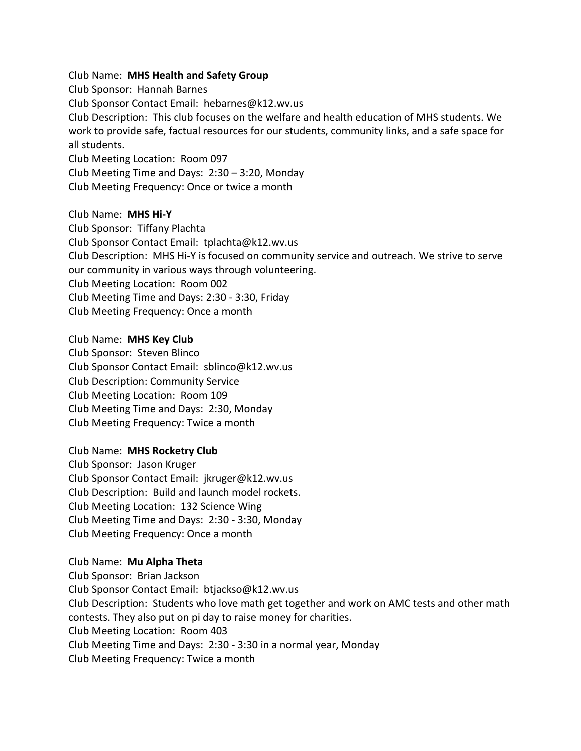Club Name: **MHS Health and Safety Group**

Club Sponsor: Hannah Barnes Club Sponsor Contact Email: hebarnes@k12.wv.us Club Description: This club focuses on the welfare and health education of MHS students. We work to provide safe, factual resources for our students, community links, and a safe space for all students. Club Meeting Location: Room 097 Club Meeting Time and Days: 2:30 – 3:20, Monday

Club Meeting Frequency: Once or twice a month

Club Name: **MHS Hi-Y** Club Sponsor: Tiffany Plachta Club Sponsor Contact Email: tplachta@k12.wv.us Club Description: MHS Hi-Y is focused on community service and outreach. We strive to serve our community in various ways through volunteering. Club Meeting Location: Room 002 Club Meeting Time and Days: 2:30 - 3:30, Friday Club Meeting Frequency: Once a month

Club Name: **MHS Key Club** Club Sponsor: Steven Blinco Club Sponsor Contact Email: sblinco@k12.wv.us Club Description: Community Service Club Meeting Location: Room 109 Club Meeting Time and Days: 2:30, Monday Club Meeting Frequency: Twice a month

Club Name: **MHS Rocketry Club** Club Sponsor: Jason Kruger Club Sponsor Contact Email: jkruger@k12.wv.us Club Description: Build and launch model rockets. Club Meeting Location: 132 Science Wing Club Meeting Time and Days: 2:30 - 3:30, Monday Club Meeting Frequency: Once a month

#### Club Name: **Mu Alpha Theta**

Club Sponsor: Brian Jackson Club Sponsor Contact Email: btjackso@k12.wv.us Club Description: Students who love math get together and work on AMC tests and other math contests. They also put on pi day to raise money for charities. Club Meeting Location: Room 403 Club Meeting Time and Days: 2:30 - 3:30 in a normal year, Monday Club Meeting Frequency: Twice a month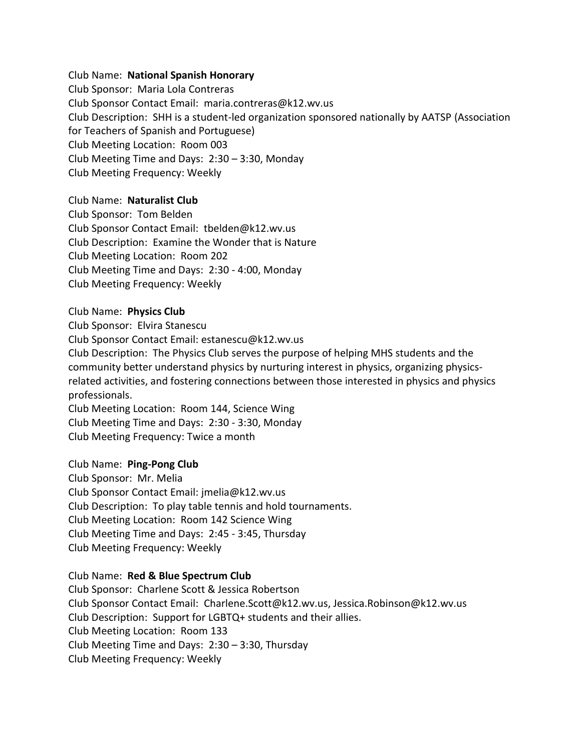#### Club Name: **National Spanish Honorary**

Club Sponsor: Maria Lola Contreras Club Sponsor Contact Email: maria.contreras@k12.wv.us Club Description: SHH is a student-led organization sponsored nationally by AATSP (Association for Teachers of Spanish and Portuguese) Club Meeting Location: Room 003 Club Meeting Time and Days: 2:30 – 3:30, Monday Club Meeting Frequency: Weekly

# Club Name: **Naturalist Club**

Club Sponsor: Tom Belden Club Sponsor Contact Email: tbelden@k12.wv.us Club Description: Examine the Wonder that is Nature Club Meeting Location: Room 202 Club Meeting Time and Days: 2:30 - 4:00, Monday Club Meeting Frequency: Weekly

#### Club Name: **Physics Club**

Club Sponsor: Elvira Stanescu

Club Sponsor Contact Email: estanescu@k12.wv.us

Club Description: The Physics Club serves the purpose of helping MHS students and the community better understand physics by nurturing interest in physics, organizing physicsrelated activities, and fostering connections between those interested in physics and physics professionals.

Club Meeting Location: Room 144, Science Wing Club Meeting Time and Days: 2:30 - 3:30, Monday Club Meeting Frequency: Twice a month

#### Club Name: **Ping-Pong Club**

Club Sponsor: Mr. Melia Club Sponsor Contact Email: jmelia@k12.wv.us Club Description: To play table tennis and hold tournaments. Club Meeting Location: Room 142 Science Wing Club Meeting Time and Days: 2:45 - 3:45, Thursday Club Meeting Frequency: Weekly

#### Club Name: **Red & Blue Spectrum Club**

Club Sponsor: Charlene Scott & Jessica Robertson Club Sponsor Contact Email: Charlene.Scott@k12.wv.us, Jessica.Robinson@k12.wv.us Club Description: Support for LGBTQ+ students and their allies. Club Meeting Location: Room 133 Club Meeting Time and Days: 2:30 – 3:30, Thursday Club Meeting Frequency: Weekly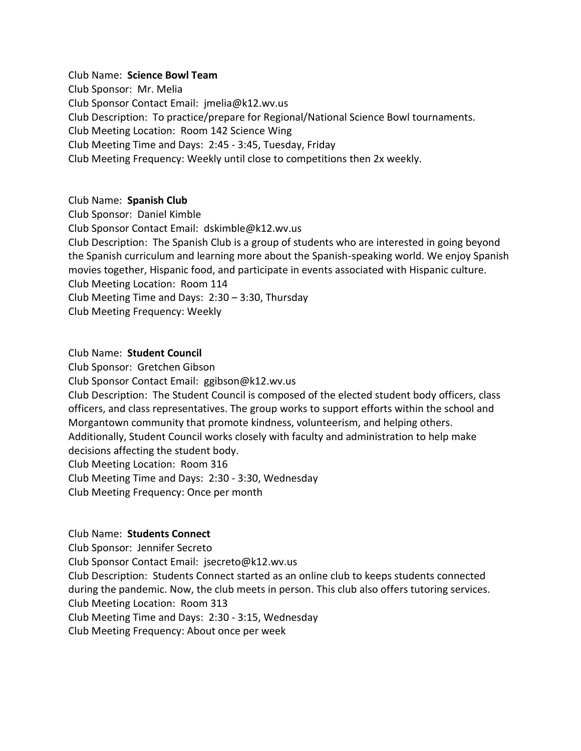# Club Name: **Science Bowl Team**

Club Sponsor: Mr. Melia Club Sponsor Contact Email: jmelia@k12.wv.us Club Description: To practice/prepare for Regional/National Science Bowl tournaments. Club Meeting Location: Room 142 Science Wing Club Meeting Time and Days: 2:45 - 3:45, Tuesday, Friday Club Meeting Frequency: Weekly until close to competitions then 2x weekly.

# Club Name: **Spanish Club**

Club Sponsor: Daniel Kimble Club Sponsor Contact Email: dskimble@k12.wv.us Club Description: The Spanish Club is a group of students who are interested in going beyond the Spanish curriculum and learning more about the Spanish-speaking world. We enjoy Spanish movies together, Hispanic food, and participate in events associated with Hispanic culture. Club Meeting Location: Room 114 Club Meeting Time and Days: 2:30 – 3:30, Thursday Club Meeting Frequency: Weekly

#### Club Name: **Student Council**

Club Sponsor: Gretchen Gibson Club Sponsor Contact Email: ggibson@k12.wv.us Club Description: The Student Council is composed of the elected student body officers, class officers, and class representatives. The group works to support efforts within the school and Morgantown community that promote kindness, volunteerism, and helping others. Additionally, Student Council works closely with faculty and administration to help make decisions affecting the student body. Club Meeting Location: Room 316 Club Meeting Time and Days: 2:30 - 3:30, Wednesday Club Meeting Frequency: Once per month

# Club Name: **Students Connect**

Club Sponsor: Jennifer Secreto Club Sponsor Contact Email: jsecreto@k12.wv.us Club Description: Students Connect started as an online club to keeps students connected during the pandemic. Now, the club meets in person. This club also offers tutoring services. Club Meeting Location: Room 313 Club Meeting Time and Days: 2:30 - 3:15, Wednesday Club Meeting Frequency: About once per week